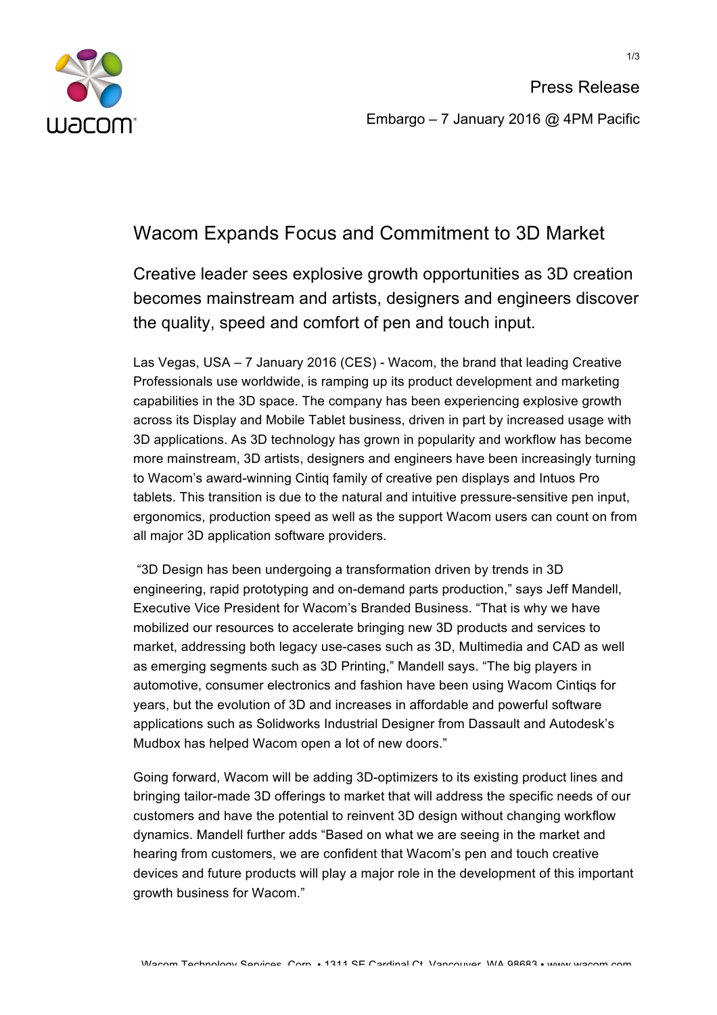

## Wacom Expands Focus and Commitment to 3D Market

Creative leader sees explosive growth opportunities as 3D creation becomes mainstream and artists, designers and engineers discover the quality, speed and comfort of pen and touch input.

Las Vegas, USA – 7 January 2016 (CES) - Wacom, the brand that leading Creative Professionals use worldwide, is ramping up its product development and marketing capabilities in the 3D space. The company has been experiencing explosive growth across its Display and Mobile Tablet business, driven in part by increased usage with 3D applications. As 3D technology has grown in popularity and workflow has become more mainstream, 3D artists, designers and engineers have been increasingly turning to Wacom's award-winning Cintiq family of creative pen displays and Intuos Pro tablets. This transition is due to the natural and intuitive pressure-sensitive pen input, ergonomics, production speed as well as the support Wacom users can count on from all major 3D application software providers.

"3D Design has been undergoing a transformation driven by trends in 3D engineering, rapid prototyping and on-demand parts production," says Jeff Mandell, Executive Vice President for Wacom's Branded Business. "That is why we have mobilized our resources to accelerate bringing new 3D products and services to market, addressing both legacy use-cases such as 3D, Multimedia and CAD as well as emerging segments such as 3D Printing," Mandell says. "The big players in automotive, consumer electronics and fashion have been using Wacom Cintiqs for years, but the evolution of 3D and increases in affordable and powerful software applications such as Solidworks Industrial Designer from Dassault and Autodesk's Mudbox has helped Wacom open a lot of new doors."

Going forward, Wacom will be adding 3D-optimizers to its existing product lines and bringing tailor-made 3D offerings to market that will address the specific needs of our customers and have the potential to reinvent 3D design without changing workflow dynamics. Mandell further adds "Based on what we are seeing in the market and hearing from customers, we are confident that Wacom's pen and touch creative devices and future products will play a major role in the development of this important growth business for Wacom."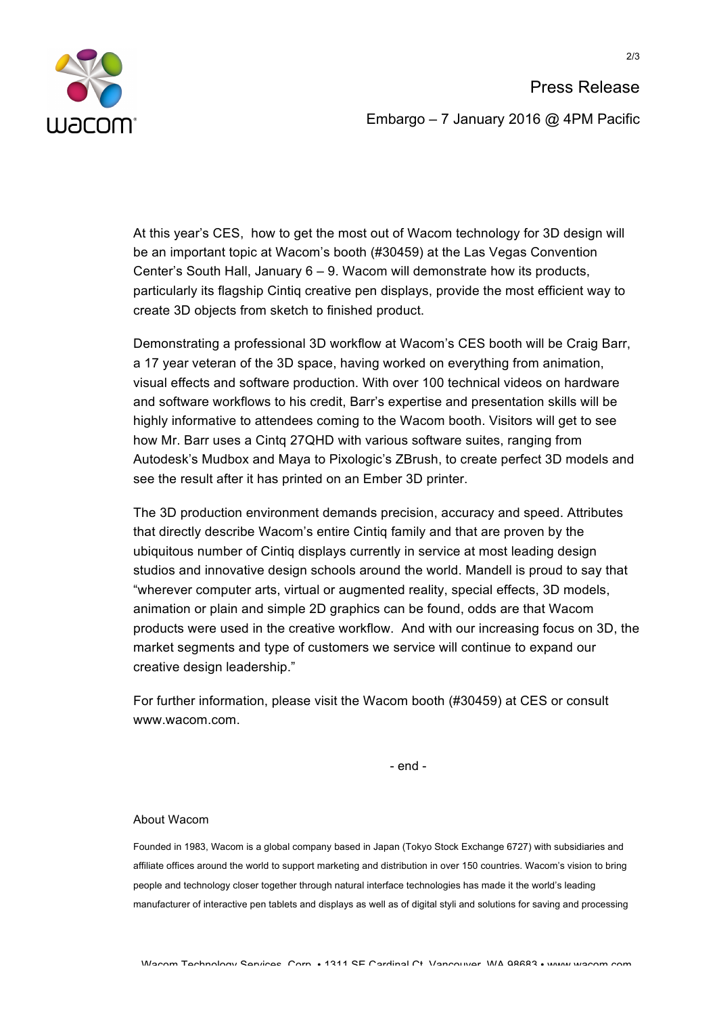

At this year's CES, how to get the most out of Wacom technology for 3D design will be an important topic at Wacom's booth (#30459) at the Las Vegas Convention Center's South Hall, January 6 – 9. Wacom will demonstrate how its products, particularly its flagship Cintiq creative pen displays, provide the most efficient way to create 3D objects from sketch to finished product.

Demonstrating a professional 3D workflow at Wacom's CES booth will be Craig Barr, a 17 year veteran of the 3D space, having worked on everything from animation, visual effects and software production. With over 100 technical videos on hardware and software workflows to his credit, Barr's expertise and presentation skills will be highly informative to attendees coming to the Wacom booth. Visitors will get to see how Mr. Barr uses a Cintq 27QHD with various software suites, ranging from Autodesk's Mudbox and Maya to Pixologic's ZBrush, to create perfect 3D models and see the result after it has printed on an Ember 3D printer.

The 3D production environment demands precision, accuracy and speed. Attributes that directly describe Wacom's entire Cintiq family and that are proven by the ubiquitous number of Cintiq displays currently in service at most leading design studios and innovative design schools around the world. Mandell is proud to say that "wherever computer arts, virtual or augmented reality, special effects, 3D models, animation or plain and simple 2D graphics can be found, odds are that Wacom products were used in the creative workflow. And with our increasing focus on 3D, the market segments and type of customers we service will continue to expand our creative design leadership."

For further information, please visit the Wacom booth (#30459) at CES or consult www.wacom.com.

- end -

## About Wacom

Founded in 1983, Wacom is a global company based in Japan (Tokyo Stock Exchange 6727) with subsidiaries and affiliate offices around the world to support marketing and distribution in over 150 countries. Wacom's vision to bring people and technology closer together through natural interface technologies has made it the world's leading manufacturer of interactive pen tablets and displays as well as of digital styli and solutions for saving and processing